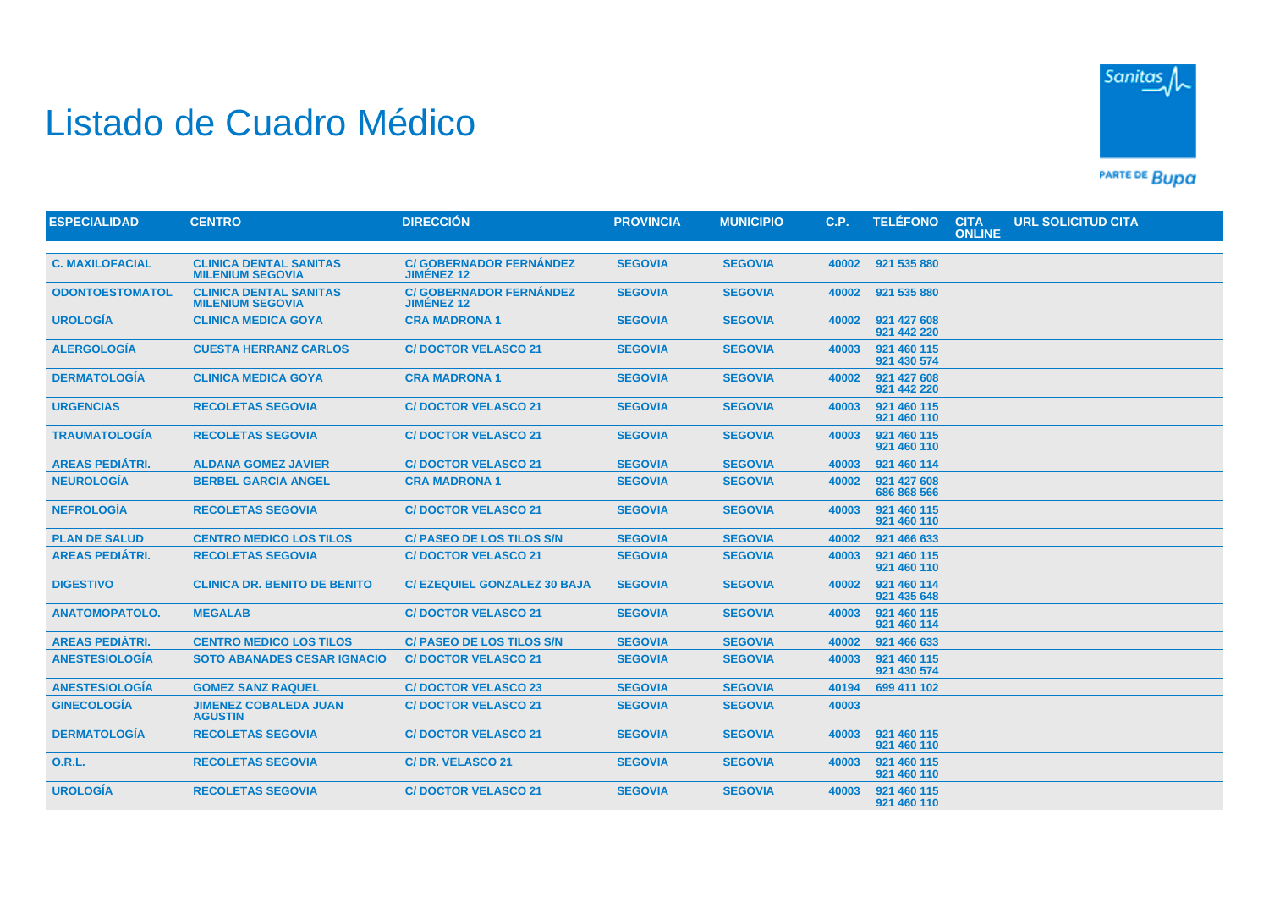## Listado de Cuadro Médico



PARTE DE BUDA

| <b>ESPECIALIDAD</b>    | <b>CENTRO</b>                                            | <b>DIRECCIÓN</b>                                    | <b>PROVINCIA</b> | <b>MUNICIPIO</b> | C.P.  | <b>TELÉFONO</b>            | <b>CITA</b><br><b>ONLINE</b> | <b>URL SOLICITUD CITA</b> |  |
|------------------------|----------------------------------------------------------|-----------------------------------------------------|------------------|------------------|-------|----------------------------|------------------------------|---------------------------|--|
|                        |                                                          |                                                     |                  |                  |       |                            |                              |                           |  |
| <b>C. MAXILOFACIAL</b> | <b>CLINICA DENTAL SANITAS</b><br><b>MILENIUM SEGOVIA</b> | <b>C/ GOBERNADOR FERNÁNDEZ</b><br><b>JIMENEZ 12</b> | <b>SEGOVIA</b>   | <b>SEGOVIA</b>   | 40002 | 921 535 880                |                              |                           |  |
| <b>ODONTOESTOMATOL</b> | <b>CLINICA DENTAL SANITAS</b><br><b>MILENIUM SEGOVIA</b> | <b>C/ GOBERNADOR FERNÁNDEZ</b><br><b>JIMÉNEZ 12</b> | <b>SEGOVIA</b>   | <b>SEGOVIA</b>   | 40002 | 921 535 880                |                              |                           |  |
| <b>UROLOGÍA</b>        | <b>CLINICA MEDICA GOYA</b>                               | <b>CRA MADRONA 1</b>                                | <b>SEGOVIA</b>   | <b>SEGOVIA</b>   | 40002 | 921 427 608<br>921 442 220 |                              |                           |  |
| <b>ALERGOLOGÍA</b>     | <b>CUESTA HERRANZ CARLOS</b>                             | <b>C/DOCTOR VELASCO 21</b>                          | <b>SEGOVIA</b>   | <b>SEGOVIA</b>   | 40003 | 921 460 115<br>921 430 574 |                              |                           |  |
| <b>DERMATOLOGÍA</b>    | <b>CLINICA MEDICA GOYA</b>                               | <b>CRA MADRONA 1</b>                                | <b>SEGOVIA</b>   | <b>SEGOVIA</b>   | 40002 | 921 427 608<br>921 442 220 |                              |                           |  |
| <b>URGENCIAS</b>       | <b>RECOLETAS SEGOVIA</b>                                 | <b>C/DOCTOR VELASCO 21</b>                          | <b>SEGOVIA</b>   | <b>SEGOVIA</b>   | 40003 | 921 460 115<br>921 460 110 |                              |                           |  |
| <b>TRAUMATOLOGIA</b>   | <b>RECOLETAS SEGOVIA</b>                                 | <b>C/DOCTOR VELASCO 21</b>                          | <b>SEGOVIA</b>   | <b>SEGOVIA</b>   | 40003 | 921 460 115<br>921 460 110 |                              |                           |  |
| <b>AREAS PEDIÁTRI.</b> | <b>ALDANA GOMEZ JAVIER</b>                               | <b>C/DOCTOR VELASCO 21</b>                          | <b>SEGOVIA</b>   | <b>SEGOVIA</b>   | 40003 | 921 460 114                |                              |                           |  |
| <b>NEUROLOGÍA</b>      | <b>BERBEL GARCIA ANGEL</b>                               | <b>CRA MADRONA 1</b>                                | <b>SEGOVIA</b>   | <b>SEGOVIA</b>   | 40002 | 921 427 608<br>686 868 566 |                              |                           |  |
| <b>NEFROLOGÍA</b>      | <b>RECOLETAS SEGOVIA</b>                                 | <b>C/DOCTOR VELASCO 21</b>                          | <b>SEGOVIA</b>   | <b>SEGOVIA</b>   | 40003 | 921 460 115<br>921 460 110 |                              |                           |  |
| <b>PLAN DE SALUD</b>   | <b>CENTRO MEDICO LOS TILOS</b>                           | <b>C/ PASEO DE LOS TILOS S/N</b>                    | <b>SEGOVIA</b>   | <b>SEGOVIA</b>   | 40002 | 921 466 633                |                              |                           |  |
| <b>AREAS PEDIÁTRI.</b> | <b>RECOLETAS SEGOVIA</b>                                 | <b>C/DOCTOR VELASCO 21</b>                          | <b>SEGOVIA</b>   | <b>SEGOVIA</b>   | 40003 | 921 460 115<br>921 460 110 |                              |                           |  |
| <b>DIGESTIVO</b>       | <b>CLINICA DR. BENITO DE BENITO</b>                      | <b>C/EZEQUIEL GONZALEZ 30 BAJA</b>                  | <b>SEGOVIA</b>   | <b>SEGOVIA</b>   | 40002 | 921 460 114<br>921 435 648 |                              |                           |  |
| <b>ANATOMOPATOLO.</b>  | <b>MEGALAB</b>                                           | <b>C/DOCTOR VELASCO 21</b>                          | <b>SEGOVIA</b>   | <b>SEGOVIA</b>   | 40003 | 921 460 115<br>921 460 114 |                              |                           |  |
| <b>AREAS PEDIÁTRI.</b> | <b>CENTRO MEDICO LOS TILOS</b>                           | <b>C/ PASEO DE LOS TILOS S/N</b>                    | <b>SEGOVIA</b>   | <b>SEGOVIA</b>   | 40002 | 921 466 633                |                              |                           |  |
| <b>ANESTESIOLOGIA</b>  | <b>SOTO ABANADES CESAR IGNACIO</b>                       | <b>C/DOCTOR VELASCO 21</b>                          | <b>SEGOVIA</b>   | <b>SEGOVIA</b>   | 40003 | 921 460 115<br>921 430 574 |                              |                           |  |
| <b>ANESTESIOLOGÍA</b>  | <b>GOMEZ SANZ RAQUEL</b>                                 | <b>C/DOCTOR VELASCO 23</b>                          | <b>SEGOVIA</b>   | <b>SEGOVIA</b>   | 40194 | 699 411 102                |                              |                           |  |
| <b>GINECOLOGÍA</b>     | <b>JIMENEZ COBALEDA JUAN</b><br><b>AGUSTIN</b>           | <b>C/DOCTOR VELASCO 21</b>                          | <b>SEGOVIA</b>   | <b>SEGOVIA</b>   | 40003 |                            |                              |                           |  |
| <b>DERMATOLOGÍA</b>    | <b>RECOLETAS SEGOVIA</b>                                 | <b>C/DOCTOR VELASCO 21</b>                          | <b>SEGOVIA</b>   | <b>SEGOVIA</b>   | 40003 | 921 460 115<br>921 460 110 |                              |                           |  |
| <b>O.R.L.</b>          | <b>RECOLETAS SEGOVIA</b>                                 | <b>C/DR. VELASCO 21</b>                             | <b>SEGOVIA</b>   | <b>SEGOVIA</b>   | 40003 | 921 460 115<br>921 460 110 |                              |                           |  |
| <b>UROLOGÍA</b>        | <b>RECOLETAS SEGOVIA</b>                                 | <b>C/DOCTOR VELASCO 21</b>                          | <b>SEGOVIA</b>   | <b>SEGOVIA</b>   | 40003 | 921 460 115<br>921 460 110 |                              |                           |  |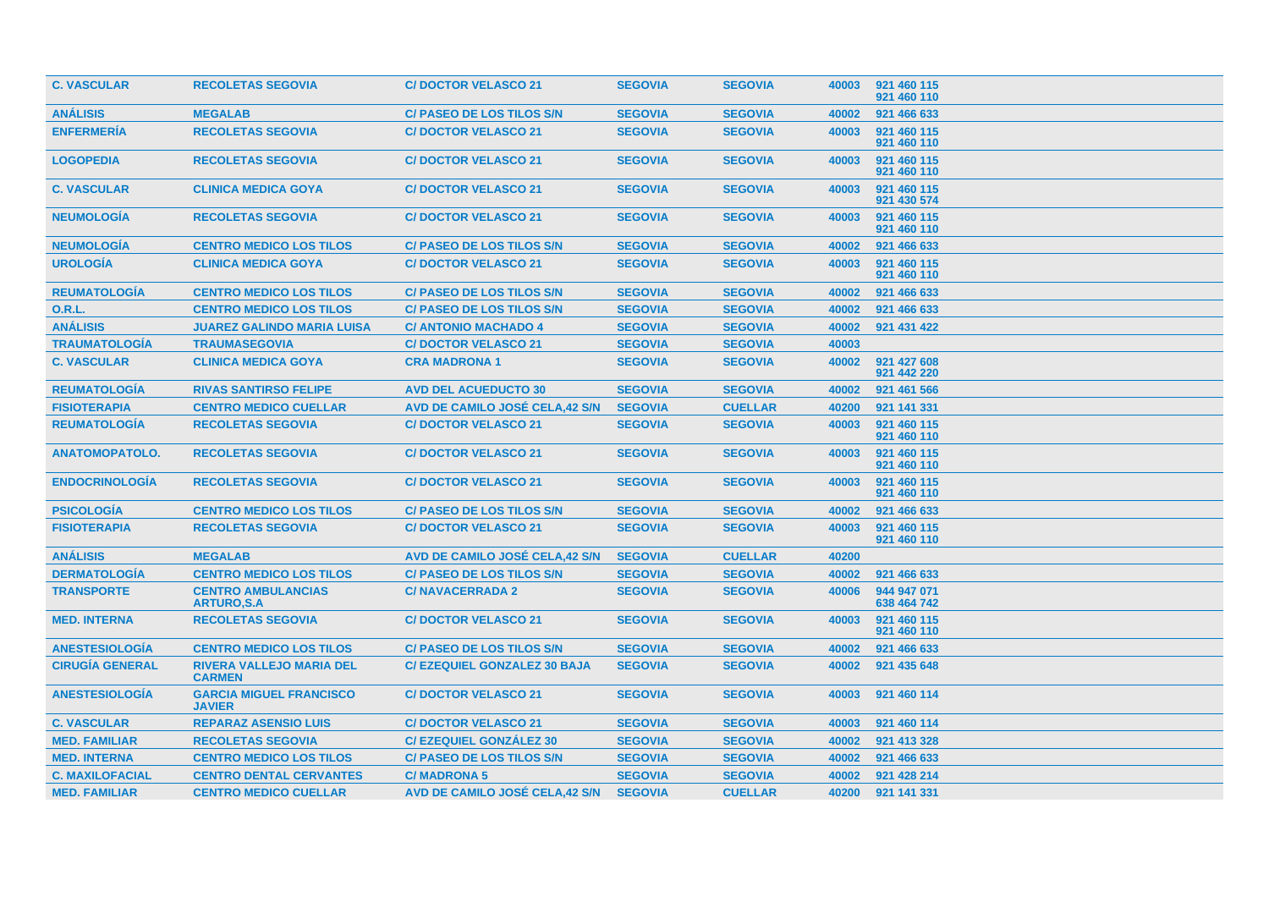| <b>C. VASCULAR</b>     | <b>RECOLETAS SEGOVIA</b>                         | <b>C/DOCTOR VELASCO 21</b>            | <b>SEGOVIA</b> | <b>SEGOVIA</b> | 40003 | 921 460 115<br>921 460 110 |
|------------------------|--------------------------------------------------|---------------------------------------|----------------|----------------|-------|----------------------------|
| <b>ANÁLISIS</b>        | <b>MEGALAB</b>                                   | <b>C/ PASEO DE LOS TILOS S/N</b>      | <b>SEGOVIA</b> | <b>SEGOVIA</b> | 40002 | 921 466 633                |
| <b>ENFERMERÍA</b>      | <b>RECOLETAS SEGOVIA</b>                         | <b>C/DOCTOR VELASCO 21</b>            | <b>SEGOVIA</b> | <b>SEGOVIA</b> | 40003 | 921 460 115<br>921 460 110 |
| <b>LOGOPEDIA</b>       | <b>RECOLETAS SEGOVIA</b>                         | <b>C/DOCTOR VELASCO 21</b>            | <b>SEGOVIA</b> | <b>SEGOVIA</b> | 40003 | 921 460 115<br>921 460 110 |
| <b>C. VASCULAR</b>     | <b>CLINICA MEDICA GOYA</b>                       | <b>C/DOCTOR VELASCO 21</b>            | <b>SEGOVIA</b> | <b>SEGOVIA</b> | 40003 | 921 460 115<br>921 430 574 |
| <b>NEUMOLOGÍA</b>      | <b>RECOLETAS SEGOVIA</b>                         | <b>C/DOCTOR VELASCO 21</b>            | <b>SEGOVIA</b> | <b>SEGOVIA</b> | 40003 | 921 460 115<br>921 460 110 |
| <b>NEUMOLOGÍA</b>      | <b>CENTRO MEDICO LOS TILOS</b>                   | <b>C/ PASEO DE LOS TILOS S/N</b>      | <b>SEGOVIA</b> | <b>SEGOVIA</b> | 40002 | 921 466 633                |
| <b>UROLOGÍA</b>        | <b>CLINICA MEDICA GOYA</b>                       | <b>C/DOCTOR VELASCO 21</b>            | <b>SEGOVIA</b> | <b>SEGOVIA</b> | 40003 | 921 460 115<br>921 460 110 |
| <b>REUMATOLOGIA</b>    | <b>CENTRO MEDICO LOS TILOS</b>                   | <b>C/ PASEO DE LOS TILOS S/N</b>      | <b>SEGOVIA</b> | <b>SEGOVIA</b> | 40002 | 921 466 633                |
| 0.R.L.                 | <b>CENTRO MEDICO LOS TILOS</b>                   | <b>C/ PASEO DE LOS TILOS S/N</b>      | <b>SEGOVIA</b> | <b>SEGOVIA</b> | 40002 | 921 466 633                |
| <b>ANÁLISIS</b>        | <b>JUAREZ GALINDO MARIA LUISA</b>                | <b>C/ ANTONIO MACHADO 4</b>           | <b>SEGOVIA</b> | <b>SEGOVIA</b> | 40002 | 921 431 422                |
| <b>TRAUMATOLOGÍA</b>   | <b>TRAUMASEGOVIA</b>                             | <b>C/DOCTOR VELASCO 21</b>            | <b>SEGOVIA</b> | <b>SEGOVIA</b> | 40003 |                            |
| <b>C. VASCULAR</b>     | <b>CLINICA MEDICA GOYA</b>                       | <b>CRA MADRONA 1</b>                  | <b>SEGOVIA</b> | <b>SEGOVIA</b> | 40002 | 921 427 608<br>921 442 220 |
| <b>REUMATOLOGÍA</b>    | <b>RIVAS SANTIRSO FELIPE</b>                     | <b>AVD DEL ACUEDUCTO 30</b>           | <b>SEGOVIA</b> | <b>SEGOVIA</b> | 40002 | 921 461 566                |
| <b>FISIOTERAPIA</b>    | <b>CENTRO MEDICO CUELLAR</b>                     | AVD DE CAMILO JOSÉ CELA,42 S/N        | <b>SEGOVIA</b> | <b>CUELLAR</b> | 40200 | 921 141 331                |
| <b>REUMATOLOGIA</b>    | <b>RECOLETAS SEGOVIA</b>                         | <b>C/DOCTOR VELASCO 21</b>            | <b>SEGOVIA</b> | <b>SEGOVIA</b> | 40003 | 921 460 115<br>921 460 110 |
| <b>ANATOMOPATOLO.</b>  | <b>RECOLETAS SEGOVIA</b>                         | <b>C/DOCTOR VELASCO 21</b>            | <b>SEGOVIA</b> | <b>SEGOVIA</b> | 40003 | 921 460 115<br>921 460 110 |
| <b>ENDOCRINOLOGIA</b>  | <b>RECOLETAS SEGOVIA</b>                         | <b>C/DOCTOR VELASCO 21</b>            | <b>SEGOVIA</b> | <b>SEGOVIA</b> | 40003 | 921 460 115<br>921 460 110 |
| <b>PSICOLOGIA</b>      | <b>CENTRO MEDICO LOS TILOS</b>                   | C/ PASEO DE LOS TILOS S/N             | <b>SEGOVIA</b> | <b>SEGOVIA</b> | 40002 | 921 466 633                |
| <b>FISIOTERAPIA</b>    | <b>RECOLETAS SEGOVIA</b>                         | <b>C/DOCTOR VELASCO 21</b>            | <b>SEGOVIA</b> | <b>SEGOVIA</b> | 40003 | 921 460 115<br>921 460 110 |
| <b>ANÁLISIS</b>        | <b>MEGALAB</b>                                   | <b>AVD DE CAMILO JOSÉ CELA.42 S/N</b> | <b>SEGOVIA</b> | <b>CUELLAR</b> | 40200 |                            |
| <b>DERMATOLOGIA</b>    | <b>CENTRO MEDICO LOS TILOS</b>                   | <b>C/ PASEO DE LOS TILOS S/N</b>      | <b>SEGOVIA</b> | <b>SEGOVIA</b> | 40002 | 921 466 633                |
| <b>TRANSPORTE</b>      | <b>CENTRO AMBULANCIAS</b><br><b>ARTURO, S.A.</b> | <b>C/NAVACERRADA 2</b>                | <b>SEGOVIA</b> | <b>SEGOVIA</b> | 40006 | 944 947 071<br>638 464 742 |
| <b>MED. INTERNA</b>    | <b>RECOLETAS SEGOVIA</b>                         | <b>C/DOCTOR VELASCO 21</b>            | <b>SEGOVIA</b> | <b>SEGOVIA</b> | 40003 | 921 460 115<br>921 460 110 |
| <b>ANESTESIOLOGIA</b>  | <b>CENTRO MEDICO LOS TILOS</b>                   | <b>C/ PASEO DE LOS TILOS S/N</b>      | <b>SEGOVIA</b> | <b>SEGOVIA</b> | 40002 | 921 466 633                |
| <b>CIRUGIA GENERAL</b> | <b>RIVERA VALLEJO MARIA DEL</b><br><b>CARMEN</b> | <b>C/EZEQUIEL GONZALEZ 30 BAJA</b>    | <b>SEGOVIA</b> | <b>SEGOVIA</b> | 40002 | 921 435 648                |
| <b>ANESTESIOLOGÍA</b>  | <b>GARCIA MIGUEL FRANCISCO</b><br><b>JAVIER</b>  | <b>C/DOCTOR VELASCO 21</b>            | <b>SEGOVIA</b> | <b>SEGOVIA</b> | 40003 | 921 460 114                |
| <b>C. VASCULAR</b>     | <b>REPARAZ ASENSIO LUIS</b>                      | <b>C/DOCTOR VELASCO 21</b>            | <b>SEGOVIA</b> | <b>SEGOVIA</b> | 40003 | 921 460 114                |
| <b>MED. FAMILIAR</b>   | <b>RECOLETAS SEGOVIA</b>                         | <b>C/EZEQUIEL GONZALEZ 30</b>         | <b>SEGOVIA</b> | <b>SEGOVIA</b> | 40002 | 921 413 328                |
| <b>MED. INTERNA</b>    | <b>CENTRO MEDICO LOS TILOS</b>                   | <b>C/ PASEO DE LOS TILOS S/N</b>      | <b>SEGOVIA</b> | <b>SEGOVIA</b> | 40002 | 921 466 633                |
| <b>C. MAXILOFACIAL</b> | <b>CENTRO DENTAL CERVANTES</b>                   | <b>C/MADRONA 5</b>                    | <b>SEGOVIA</b> | <b>SEGOVIA</b> | 40002 | 921 428 214                |
| <b>MED. FAMILIAR</b>   | <b>CENTRO MEDICO CUELLAR</b>                     | AVD DE CAMILO JOSÉ CELA,42 S/N        | <b>SEGOVIA</b> | <b>CUELLAR</b> | 40200 | 921 141 331                |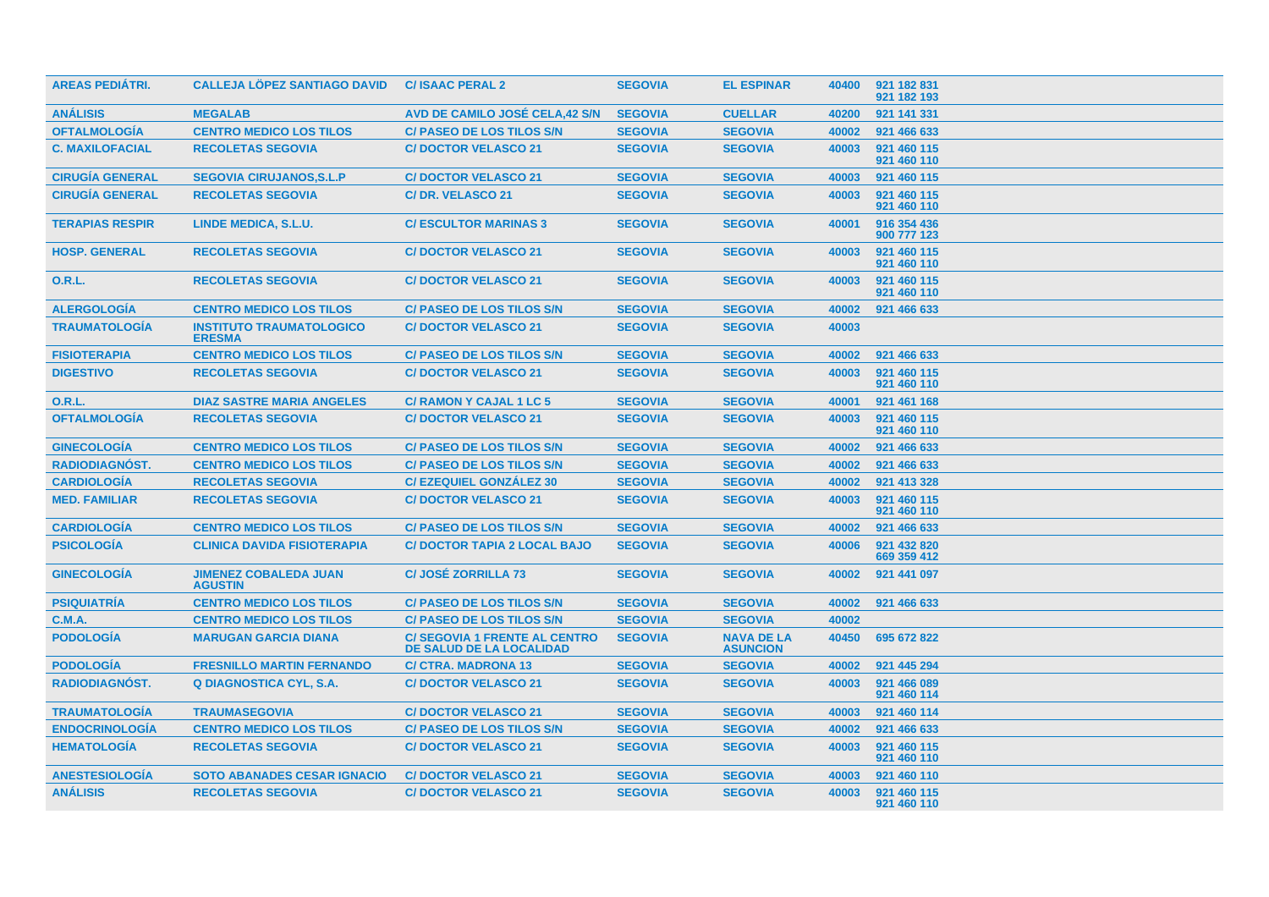| <b>AREAS PEDIÁTRI.</b> | <b>CALLEJA LOPEZ SANTIAGO DAVID</b>              | <b>C/ISAAC PERAL 2</b>                                                 | <b>SEGOVIA</b> | <b>EL ESPINAR</b>                    | 40400 | 921 182 831<br>921 182 193 |
|------------------------|--------------------------------------------------|------------------------------------------------------------------------|----------------|--------------------------------------|-------|----------------------------|
| <b>ANÁLISIS</b>        | <b>MEGALAB</b>                                   | AVD DE CAMILO JOSÉ CELA,42 S/N                                         | <b>SEGOVIA</b> | <b>CUELLAR</b>                       | 40200 | 921 141 331                |
| <b>OFTALMOLOGÍA</b>    | <b>CENTRO MEDICO LOS TILOS</b>                   | <b>C/ PASEO DE LOS TILOS S/N</b>                                       | <b>SEGOVIA</b> | <b>SEGOVIA</b>                       | 40002 | 921 466 633                |
| <b>C. MAXILOFACIAL</b> | <b>RECOLETAS SEGOVIA</b>                         | <b>C/DOCTOR VELASCO 21</b>                                             | <b>SEGOVIA</b> | <b>SEGOVIA</b>                       | 40003 | 921 460 115<br>921 460 110 |
| <b>CIRUGÍA GENERAL</b> | <b>SEGOVIA CIRUJANOS.S.L.P</b>                   | <b>C/DOCTOR VELASCO 21</b>                                             | <b>SEGOVIA</b> | <b>SEGOVIA</b>                       | 40003 | 921 460 115                |
| <b>CIRUGÍA GENERAL</b> | <b>RECOLETAS SEGOVIA</b>                         | <b>C/DR. VELASCO 21</b>                                                | <b>SEGOVIA</b> | <b>SEGOVIA</b>                       | 40003 | 921 460 115<br>921 460 110 |
| <b>TERAPIAS RESPIR</b> | LINDE MEDICA, S.L.U.                             | <b>C/ESCULTOR MARINAS 3</b>                                            | <b>SEGOVIA</b> | <b>SEGOVIA</b>                       | 40001 | 916 354 436<br>900 777 123 |
| <b>HOSP. GENERAL</b>   | <b>RECOLETAS SEGOVIA</b>                         | <b>C/DOCTOR VELASCO 21</b>                                             | <b>SEGOVIA</b> | <b>SEGOVIA</b>                       | 40003 | 921 460 115<br>921 460 110 |
| 0.R.L.                 | <b>RECOLETAS SEGOVIA</b>                         | <b>C/DOCTOR VELASCO 21</b>                                             | <b>SEGOVIA</b> | <b>SEGOVIA</b>                       | 40003 | 921 460 115<br>921 460 110 |
| <b>ALERGOLOGÍA</b>     | <b>CENTRO MEDICO LOS TILOS</b>                   | <b>C/ PASEO DE LOS TILOS S/N</b>                                       | <b>SEGOVIA</b> | <b>SEGOVIA</b>                       | 40002 | 921 466 633                |
| <b>TRAUMATOLOGIA</b>   | <b>INSTITUTO TRAUMATOLOGICO</b><br><b>ERESMA</b> | <b>C/DOCTOR VELASCO 21</b>                                             | <b>SEGOVIA</b> | <b>SEGOVIA</b>                       | 40003 |                            |
| <b>FISIOTERAPIA</b>    | <b>CENTRO MEDICO LOS TILOS</b>                   | <b>C/ PASEO DE LOS TILOS S/N</b>                                       | <b>SEGOVIA</b> | <b>SEGOVIA</b>                       | 40002 | 921 466 633                |
| <b>DIGESTIVO</b>       | <b>RECOLETAS SEGOVIA</b>                         | <b>C/DOCTOR VELASCO 21</b>                                             | <b>SEGOVIA</b> | <b>SEGOVIA</b>                       | 40003 | 921 460 115<br>921 460 110 |
| <b>O.R.L.</b>          | <b>DIAZ SASTRE MARIA ANGELES</b>                 | <b>C/ RAMON Y CAJAL 1 LC 5</b>                                         | <b>SEGOVIA</b> | <b>SEGOVIA</b>                       | 40001 | 921 461 168                |
| <b>OFTALMOLOGIA</b>    | <b>RECOLETAS SEGOVIA</b>                         | <b>C/DOCTOR VELASCO 21</b>                                             | <b>SEGOVIA</b> | <b>SEGOVIA</b>                       | 40003 | 921 460 115<br>921 460 110 |
| <b>GINECOLOGIA</b>     | <b>CENTRO MEDICO LOS TILOS</b>                   | <b>C/ PASEO DE LOS TILOS S/N</b>                                       | <b>SEGOVIA</b> | <b>SEGOVIA</b>                       | 40002 | 921 466 633                |
| RADIODIAGNÓST.         | <b>CENTRO MEDICO LOS TILOS</b>                   | <b>C/ PASEO DE LOS TILOS S/N</b>                                       | <b>SEGOVIA</b> | <b>SEGOVIA</b>                       | 40002 | 921 466 633                |
| <b>CARDIOLOGÍA</b>     | <b>RECOLETAS SEGOVIA</b>                         | <b>C/EZEQUIEL GONZALEZ 30</b>                                          | <b>SEGOVIA</b> | <b>SEGOVIA</b>                       | 40002 | 921 413 328                |
| <b>MED. FAMILIAR</b>   | <b>RECOLETAS SEGOVIA</b>                         | <b>C/DOCTOR VELASCO 21</b>                                             | <b>SEGOVIA</b> | <b>SEGOVIA</b>                       | 40003 | 921 460 115<br>921 460 110 |
| <b>CARDIOLOGÍA</b>     | <b>CENTRO MEDICO LOS TILOS</b>                   | <b>C/ PASEO DE LOS TILOS S/N</b>                                       | <b>SEGOVIA</b> | <b>SEGOVIA</b>                       | 40002 | 921 466 633                |
| <b>PSICOLOGIA</b>      | <b>CLINICA DAVIDA FISIOTERAPIA</b>               | <b>C/ DOCTOR TAPIA 2 LOCAL BAJO</b>                                    | <b>SEGOVIA</b> | <b>SEGOVIA</b>                       | 40006 | 921 432 820<br>669 359 412 |
| <b>GINECOLOGIA</b>     | <b>JIMENEZ COBALEDA JUAN</b><br><b>AGUSTIN</b>   | <b>C/JOSÉ ZORRILLA 73</b>                                              | <b>SEGOVIA</b> | <b>SEGOVIA</b>                       | 40002 | 921 441 097                |
| <b>PSIQUIATRÍA</b>     | <b>CENTRO MEDICO LOS TILOS</b>                   | <b>C/ PASEO DE LOS TILOS S/N</b>                                       | <b>SEGOVIA</b> | <b>SEGOVIA</b>                       | 40002 | 921 466 633                |
| <b>C.M.A.</b>          | <b>CENTRO MEDICO LOS TILOS</b>                   | <b>C/ PASEO DE LOS TILOS S/N</b>                                       | <b>SEGOVIA</b> | <b>SEGOVIA</b>                       | 40002 |                            |
| <b>PODOLOGÍA</b>       | <b>MARUGAN GARCIA DIANA</b>                      | <b>C/SEGOVIA 1 FRENTE AL CENTRO</b><br><b>DE SALUD DE LA LOCALIDAD</b> | <b>SEGOVIA</b> | <b>NAVA DE LA</b><br><b>ASUNCION</b> | 40450 | 695 672 822                |
| <b>PODOLOGIA</b>       | <b>FRESNILLO MARTIN FERNANDO</b>                 | <b>C/ CTRA. MADRONA 13</b>                                             | <b>SEGOVIA</b> | <b>SEGOVIA</b>                       | 40002 | 921 445 294                |
| RADIODIAGNÓST.         | <b>Q DIAGNOSTICA CYL, S.A.</b>                   | <b>C/DOCTOR VELASCO 21</b>                                             | <b>SEGOVIA</b> | <b>SEGOVIA</b>                       | 40003 | 921 466 089<br>921 460 114 |
| <b>TRAUMATOLOGIA</b>   | <b>TRAUMASEGOVIA</b>                             | <b>C/DOCTOR VELASCO 21</b>                                             | <b>SEGOVIA</b> | <b>SEGOVIA</b>                       | 40003 | 921 460 114                |
| <b>ENDOCRINOLOGIA</b>  | <b>CENTRO MEDICO LOS TILOS</b>                   | <b>C/ PASEO DE LOS TILOS S/N</b>                                       | <b>SEGOVIA</b> | <b>SEGOVIA</b>                       | 40002 | 921 466 633                |
| <b>HEMATOLOGÍA</b>     | <b>RECOLETAS SEGOVIA</b>                         | <b>C/DOCTOR VELASCO 21</b>                                             | <b>SEGOVIA</b> | <b>SEGOVIA</b>                       | 40003 | 921 460 115<br>921 460 110 |
| <b>ANESTESIOLOGÍA</b>  | <b>SOTO ABANADES CESAR IGNACIO</b>               | <b>C/DOCTOR VELASCO 21</b>                                             | <b>SEGOVIA</b> | <b>SEGOVIA</b>                       | 40003 | 921 460 110                |
| <b>ANALISIS</b>        | <b>RECOLETAS SEGOVIA</b>                         | <b>C/DOCTOR VELASCO 21</b>                                             | <b>SEGOVIA</b> | <b>SEGOVIA</b>                       | 40003 | 921 460 115<br>921 460 110 |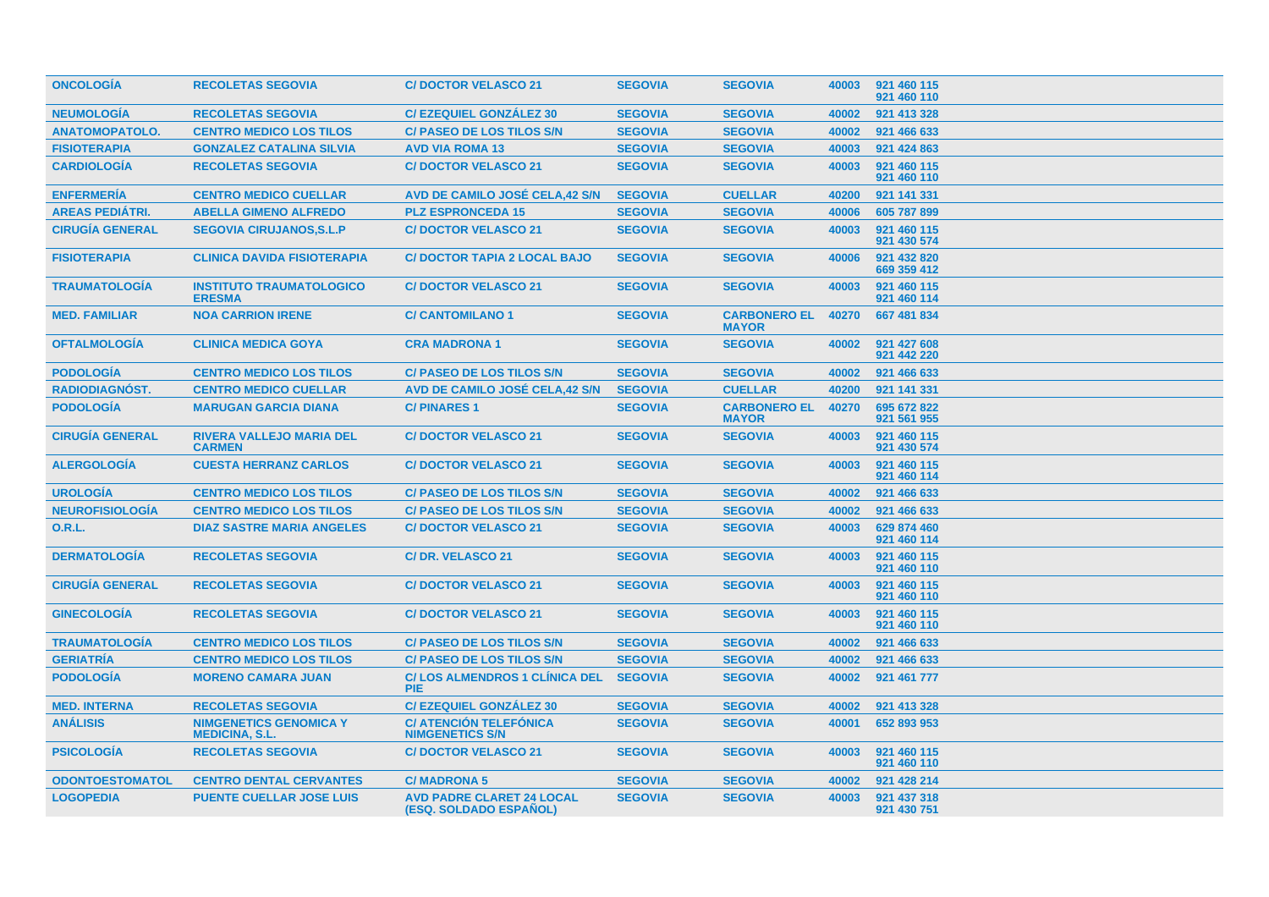| <b>ONCOLOGIA</b>       | <b>RECOLETAS SEGOVIA</b>                               | <b>C/DOCTOR VELASCO 21</b>                                 | <b>SEGOVIA</b> | <b>SEGOVIA</b>                      | 40003 | 921 460 115<br>921 460 110 |
|------------------------|--------------------------------------------------------|------------------------------------------------------------|----------------|-------------------------------------|-------|----------------------------|
| <b>NEUMOLOGÍA</b>      | <b>RECOLETAS SEGOVIA</b>                               | <b>C/EZEQUIEL GONZALEZ 30</b>                              | <b>SEGOVIA</b> | <b>SEGOVIA</b>                      | 40002 | 921 413 328                |
| <b>ANATOMOPATOLO.</b>  | <b>CENTRO MEDICO LOS TILOS</b>                         | <b>C/ PASEO DE LOS TILOS S/N</b>                           | <b>SEGOVIA</b> | <b>SEGOVIA</b>                      | 40002 | 921 466 633                |
| <b>FISIOTERAPIA</b>    | <b>GONZALEZ CATALINA SILVIA</b>                        | <b>AVD VIA ROMA 13</b>                                     | <b>SEGOVIA</b> | <b>SEGOVIA</b>                      | 40003 | 921 424 863                |
| <b>CARDIOLOGÍA</b>     | <b>RECOLETAS SEGOVIA</b>                               | <b>C/DOCTOR VELASCO 21</b>                                 | <b>SEGOVIA</b> | <b>SEGOVIA</b>                      | 40003 | 921 460 115<br>921 460 110 |
| <b>ENFERMERÍA</b>      | <b>CENTRO MEDICO CUELLAR</b>                           | AVD DE CAMILO JOSÉ CELA,42 S/N                             | <b>SEGOVIA</b> | <b>CUELLAR</b>                      | 40200 | 921 141 331                |
| <b>AREAS PEDIÁTRI.</b> | <b>ABELLA GIMENO ALFREDO</b>                           | <b>PLZ ESPRONCEDA 15</b>                                   | <b>SEGOVIA</b> | <b>SEGOVIA</b>                      | 40006 | 605 787 899                |
| <b>CIRUGÍA GENERAL</b> | <b>SEGOVIA CIRUJANOS, S.L.P</b>                        | <b>C/DOCTOR VELASCO 21</b>                                 | <b>SEGOVIA</b> | <b>SEGOVIA</b>                      | 40003 | 921 460 115<br>921 430 574 |
| <b>FISIOTERAPIA</b>    | <b>CLINICA DAVIDA FISIOTERAPIA</b>                     | <b>C/ DOCTOR TAPIA 2 LOCAL BAJO</b>                        | <b>SEGOVIA</b> | <b>SEGOVIA</b>                      | 40006 | 921 432 820<br>669 359 412 |
| <b>TRAUMATOLOGIA</b>   | <b>INSTITUTO TRAUMATOLOGICO</b><br><b>ERESMA</b>       | <b>C/DOCTOR VELASCO 21</b>                                 | <b>SEGOVIA</b> | <b>SEGOVIA</b>                      | 40003 | 921 460 115<br>921 460 114 |
| <b>MED. FAMILIAR</b>   | <b>NOA CARRION IRENE</b>                               | <b>C/ CANTOMILANO 1</b>                                    | <b>SEGOVIA</b> | <b>CARBONERO EL</b><br><b>MAYOR</b> | 40270 | 667 481 834                |
| <b>OFTALMOLOGIA</b>    | <b>CLINICA MEDICA GOYA</b>                             | <b>CRA MADRONA 1</b>                                       | <b>SEGOVIA</b> | <b>SEGOVIA</b>                      | 40002 | 921 427 608<br>921 442 220 |
| <b>PODOLOGIA</b>       | <b>CENTRO MEDICO LOS TILOS</b>                         | <b>C/ PASEO DE LOS TILOS S/N</b>                           | <b>SEGOVIA</b> | <b>SEGOVIA</b>                      | 40002 | 921 466 633                |
| <b>RADIODIAGNÓST.</b>  | <b>CENTRO MEDICO CUELLAR</b>                           | AVD DE CAMILO JOSÉ CELA,42 S/N                             | <b>SEGOVIA</b> | <b>CUELLAR</b>                      | 40200 | 921 141 331                |
| <b>PODOLOGÍA</b>       | <b>MARUGAN GARCIA DIANA</b>                            | <b>C/PINARES1</b>                                          | <b>SEGOVIA</b> | <b>CARBONERO EL</b><br><b>MAYOR</b> | 40270 | 695 672 822<br>921 561 955 |
| <b>CIRUGÍA GENERAL</b> | <b>RIVERA VALLEJO MARIA DEL</b><br><b>CARMEN</b>       | <b>C/DOCTOR VELASCO 21</b>                                 | <b>SEGOVIA</b> | <b>SEGOVIA</b>                      | 40003 | 921 460 115<br>921 430 574 |
| <b>ALERGOLOGÍA</b>     | <b>CUESTA HERRANZ CARLOS</b>                           | <b>C/DOCTOR VELASCO 21</b>                                 | <b>SEGOVIA</b> | <b>SEGOVIA</b>                      | 40003 | 921 460 115<br>921 460 114 |
| <b>UROLOGÍA</b>        | <b>CENTRO MEDICO LOS TILOS</b>                         | <b>C/ PASEO DE LOS TILOS S/N</b>                           | <b>SEGOVIA</b> | <b>SEGOVIA</b>                      | 40002 | 921 466 633                |
| <b>NEUROFISIOLOGÍA</b> | <b>CENTRO MEDICO LOS TILOS</b>                         | <b>C/ PASEO DE LOS TILOS S/N</b>                           | <b>SEGOVIA</b> | <b>SEGOVIA</b>                      | 40002 | 921 466 633                |
| 0.R.L.                 | <b>DIAZ SASTRE MARIA ANGELES</b>                       | <b>C/DOCTOR VELASCO 21</b>                                 | <b>SEGOVIA</b> | <b>SEGOVIA</b>                      | 40003 | 629 874 460<br>921 460 114 |
| <b>DERMATOLOGÍA</b>    | <b>RECOLETAS SEGOVIA</b>                               | C/DR. VELASCO 21                                           | <b>SEGOVIA</b> | <b>SEGOVIA</b>                      | 40003 | 921 460 115<br>921 460 110 |
| <b>CIRUGÍA GENERAL</b> | <b>RECOLETAS SEGOVIA</b>                               | <b>C/DOCTOR VELASCO 21</b>                                 | <b>SEGOVIA</b> | <b>SEGOVIA</b>                      | 40003 | 921 460 115<br>921 460 110 |
| <b>GINECOLOGÍA</b>     | <b>RECOLETAS SEGOVIA</b>                               | <b>C/DOCTOR VELASCO 21</b>                                 | <b>SEGOVIA</b> | <b>SEGOVIA</b>                      | 40003 | 921 460 115<br>921 460 110 |
| <b>TRAUMATOLOGIA</b>   | <b>CENTRO MEDICO LOS TILOS</b>                         | <b>C/ PASEO DE LOS TILOS S/N</b>                           | <b>SEGOVIA</b> | <b>SEGOVIA</b>                      | 40002 | 921 466 633                |
| <b>GERIATRÍA</b>       | <b>CENTRO MEDICO LOS TILOS</b>                         | <b>C/ PASEO DE LOS TILOS S/N</b>                           | <b>SEGOVIA</b> | <b>SEGOVIA</b>                      | 40002 | 921 466 633                |
| <b>PODOLOGÍA</b>       | <b>MORENO CAMARA JUAN</b>                              | <b>C/LOS ALMENDROS 1 CLINICA DEL</b><br><b>PIE</b>         | <b>SEGOVIA</b> | <b>SEGOVIA</b>                      | 40002 | 921 461 777                |
| <b>MED. INTERNA</b>    | <b>RECOLETAS SEGOVIA</b>                               | <b>C/EZEQUIEL GONZÁLEZ 30</b>                              | <b>SEGOVIA</b> | <b>SEGOVIA</b>                      | 40002 | 921 413 328                |
| <b>ANÁLISIS</b>        | <b>NIMGENETICS GENOMICA Y</b><br><b>MEDICINA, S.L.</b> | <b>C/ ATENCIÓN TELEFÓNICA</b><br><b>NIMGENETICS S/N</b>    | <b>SEGOVIA</b> | <b>SEGOVIA</b>                      | 40001 | 652 893 953                |
| <b>PSICOLOGIA</b>      | <b>RECOLETAS SEGOVIA</b>                               | <b>C/DOCTOR VELASCO 21</b>                                 | <b>SEGOVIA</b> | <b>SEGOVIA</b>                      | 40003 | 921 460 115<br>921 460 110 |
| <b>ODONTOESTOMATOL</b> | <b>CENTRO DENTAL CERVANTES</b>                         | <b>C/MADRONA 5</b>                                         | <b>SEGOVIA</b> | <b>SEGOVIA</b>                      | 40002 | 921 428 214                |
| <b>LOGOPEDIA</b>       | <b>PUENTE CUELLAR JOSE LUIS</b>                        | <b>AVD PADRE CLARET 24 LOCAL</b><br>(ESQ. SOLDADO ESPAÑOL) | <b>SEGOVIA</b> | <b>SEGOVIA</b>                      | 40003 | 921 437 318<br>921 430 751 |